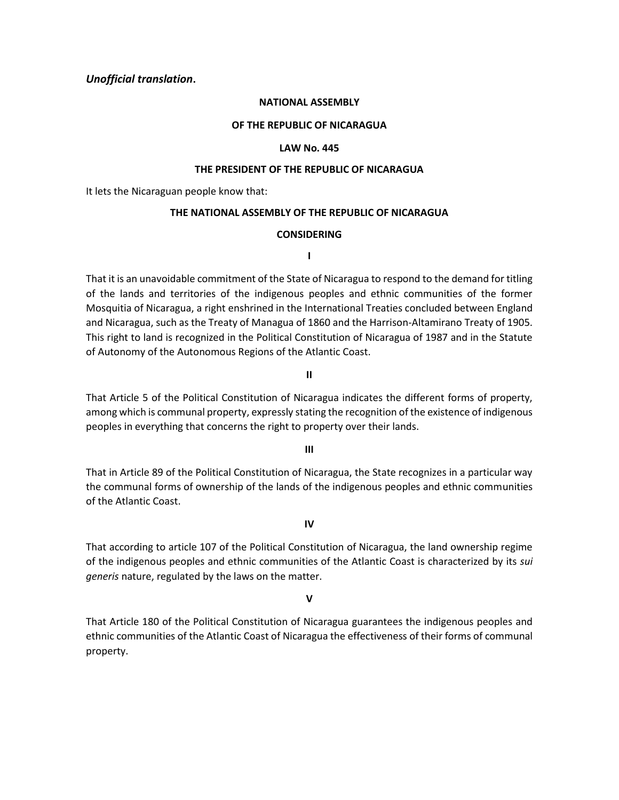### *Unofficial translation***.**

#### **NATIONAL ASSEMBLY**

#### **OF THE REPUBLIC OF NICARAGUA**

#### **LAW No. 445**

#### **THE PRESIDENT OF THE REPUBLIC OF NICARAGUA**

It lets the Nicaraguan people know that:

#### **THE NATIONAL ASSEMBLY OF THE REPUBLIC OF NICARAGUA**

#### **CONSIDERING**

**I**

That it is an unavoidable commitment of the State of Nicaragua to respond to the demand for titling of the lands and territories of the indigenous peoples and ethnic communities of the former Mosquitia of Nicaragua, a right enshrined in the International Treaties concluded between England and Nicaragua, such as the Treaty of Managua of 1860 and the Harrison-Altamirano Treaty of 1905. This right to land is recognized in the Political Constitution of Nicaragua of 1987 and in the Statute of Autonomy of the Autonomous Regions of the Atlantic Coast.

#### **II**

That Article 5 of the Political Constitution of Nicaragua indicates the different forms of property, among which is communal property, expressly stating the recognition of the existence of indigenous peoples in everything that concerns the right to property over their lands.

**III**

That in Article 89 of the Political Constitution of Nicaragua, the State recognizes in a particular way the communal forms of ownership of the lands of the indigenous peoples and ethnic communities of the Atlantic Coast.

**IV**

That according to article 107 of the Political Constitution of Nicaragua, the land ownership regime of the indigenous peoples and ethnic communities of the Atlantic Coast is characterized by its *sui generis* nature, regulated by the laws on the matter.

#### **V**

That Article 180 of the Political Constitution of Nicaragua guarantees the indigenous peoples and ethnic communities of the Atlantic Coast of Nicaragua the effectiveness of their forms of communal property.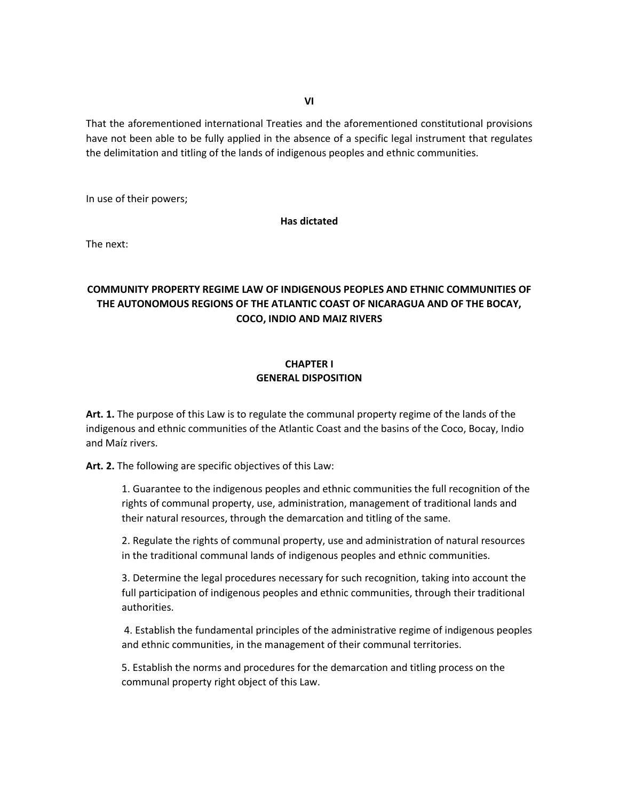That the aforementioned international Treaties and the aforementioned constitutional provisions have not been able to be fully applied in the absence of a specific legal instrument that regulates the delimitation and titling of the lands of indigenous peoples and ethnic communities.

In use of their powers;

#### **Has dictated**

The next:

# **COMMUNITY PROPERTY REGIME LAW OF INDIGENOUS PEOPLES AND ETHNIC COMMUNITIES OF THE AUTONOMOUS REGIONS OF THE ATLANTIC COAST OF NICARAGUA AND OF THE BOCAY, COCO, INDIO AND MAIZ RIVERS**

### **CHAPTER I GENERAL DISPOSITION**

**Art. 1.** The purpose of this Law is to regulate the communal property regime of the lands of the indigenous and ethnic communities of the Atlantic Coast and the basins of the Coco, Bocay, Indio and Maíz rivers.

**Art. 2.** The following are specific objectives of this Law:

1. Guarantee to the indigenous peoples and ethnic communities the full recognition of the rights of communal property, use, administration, management of traditional lands and their natural resources, through the demarcation and titling of the same.

2. Regulate the rights of communal property, use and administration of natural resources in the traditional communal lands of indigenous peoples and ethnic communities.

3. Determine the legal procedures necessary for such recognition, taking into account the full participation of indigenous peoples and ethnic communities, through their traditional authorities.

4. Establish the fundamental principles of the administrative regime of indigenous peoples and ethnic communities, in the management of their communal territories.

5. Establish the norms and procedures for the demarcation and titling process on the communal property right object of this Law.

**VI**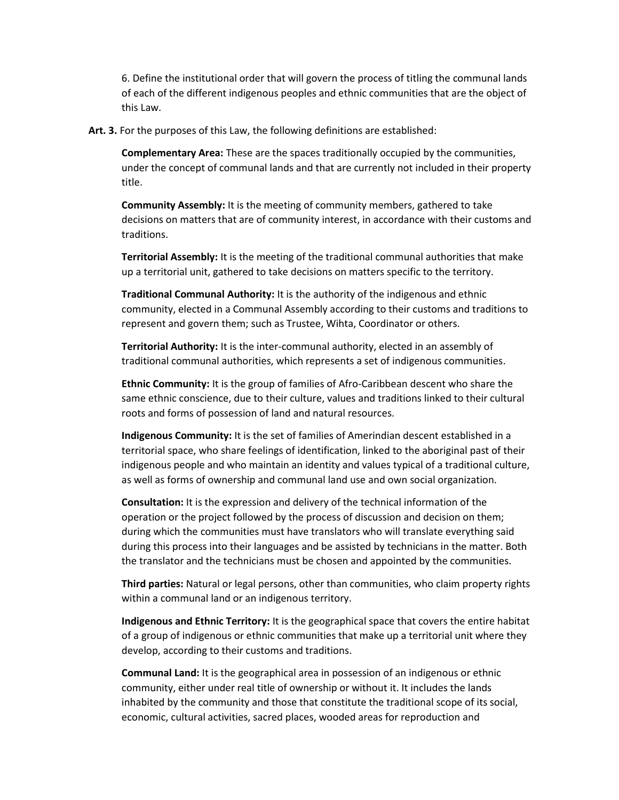6. Define the institutional order that will govern the process of titling the communal lands of each of the different indigenous peoples and ethnic communities that are the object of this Law.

**Art. 3.** For the purposes of this Law, the following definitions are established:

**Complementary Area:** These are the spaces traditionally occupied by the communities, under the concept of communal lands and that are currently not included in their property title.

**Community Assembly:** It is the meeting of community members, gathered to take decisions on matters that are of community interest, in accordance with their customs and traditions.

**Territorial Assembly:** It is the meeting of the traditional communal authorities that make up a territorial unit, gathered to take decisions on matters specific to the territory.

**Traditional Communal Authority:** It is the authority of the indigenous and ethnic community, elected in a Communal Assembly according to their customs and traditions to represent and govern them; such as Trustee, Wihta, Coordinator or others.

**Territorial Authority:** It is the inter-communal authority, elected in an assembly of traditional communal authorities, which represents a set of indigenous communities.

**Ethnic Community:** It is the group of families of Afro-Caribbean descent who share the same ethnic conscience, due to their culture, values and traditions linked to their cultural roots and forms of possession of land and natural resources.

**Indigenous Community:** It is the set of families of Amerindian descent established in a territorial space, who share feelings of identification, linked to the aboriginal past of their indigenous people and who maintain an identity and values typical of a traditional culture, as well as forms of ownership and communal land use and own social organization.

**Consultation:** It is the expression and delivery of the technical information of the operation or the project followed by the process of discussion and decision on them; during which the communities must have translators who will translate everything said during this process into their languages and be assisted by technicians in the matter. Both the translator and the technicians must be chosen and appointed by the communities.

**Third parties:** Natural or legal persons, other than communities, who claim property rights within a communal land or an indigenous territory.

**Indigenous and Ethnic Territory:** It is the geographical space that covers the entire habitat of a group of indigenous or ethnic communities that make up a territorial unit where they develop, according to their customs and traditions.

**Communal Land:** It is the geographical area in possession of an indigenous or ethnic community, either under real title of ownership or without it. It includes the lands inhabited by the community and those that constitute the traditional scope of its social, economic, cultural activities, sacred places, wooded areas for reproduction and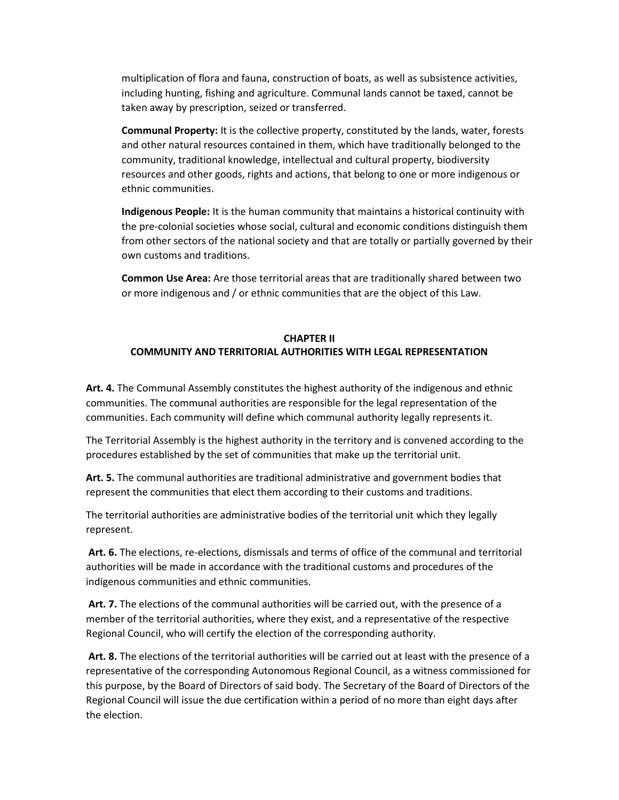multiplication of flora and fauna, construction of boats, as well as subsistence activities, including hunting, fishing and agriculture. Communal lands cannot be taxed, cannot be taken away by prescription, seized or transferred.

**Communal Property:** It is the collective property, constituted by the lands, water, forests and other natural resources contained in them, which have traditionally belonged to the community, traditional knowledge, intellectual and cultural property, biodiversity resources and other goods, rights and actions, that belong to one or more indigenous or ethnic communities.

**Indigenous People:** It is the human community that maintains a historical continuity with the pre-colonial societies whose social, cultural and economic conditions distinguish them from other sectors of the national society and that are totally or partially governed by their own customs and traditions.

**Common Use Area:** Are those territorial areas that are traditionally shared between two or more indigenous and / or ethnic communities that are the object of this Law.

# **CHAPTER II COMMUNITY AND TERRITORIAL AUTHORITIES WITH LEGAL REPRESENTATION**

**Art. 4.** The Communal Assembly constitutes the highest authority of the indigenous and ethnic communities. The communal authorities are responsible for the legal representation of the communities. Each community will define which communal authority legally represents it.

The Territorial Assembly is the highest authority in the territory and is convened according to the procedures established by the set of communities that make up the territorial unit.

**Art. 5.** The communal authorities are traditional administrative and government bodies that represent the communities that elect them according to their customs and traditions.

The territorial authorities are administrative bodies of the territorial unit which they legally represent.

**Art. 6.** The elections, re-elections, dismissals and terms of office of the communal and territorial authorities will be made in accordance with the traditional customs and procedures of the indigenous communities and ethnic communities.

**Art. 7.** The elections of the communal authorities will be carried out, with the presence of a member of the territorial authorities, where they exist, and a representative of the respective Regional Council, who will certify the election of the corresponding authority.

**Art. 8.** The elections of the territorial authorities will be carried out at least with the presence of a representative of the corresponding Autonomous Regional Council, as a witness commissioned for this purpose, by the Board of Directors of said body. The Secretary of the Board of Directors of the Regional Council will issue the due certification within a period of no more than eight days after the election.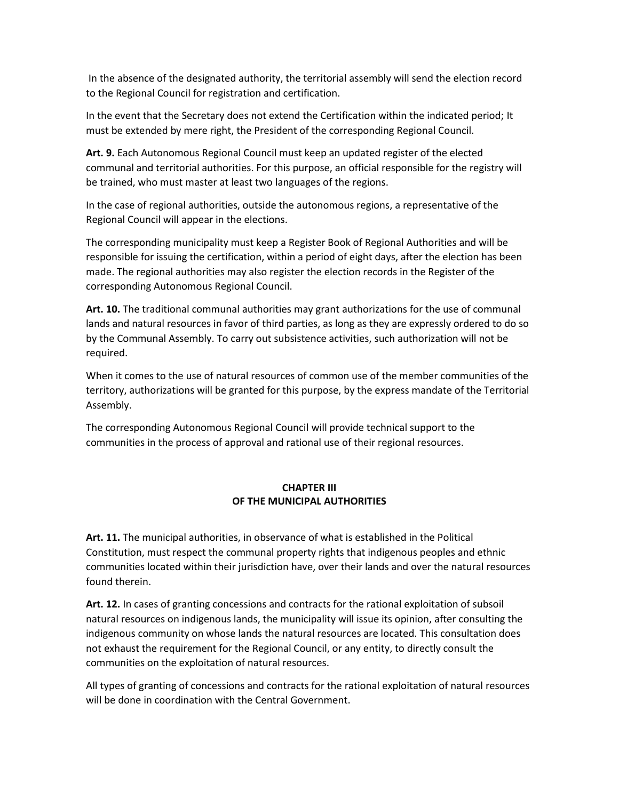In the absence of the designated authority, the territorial assembly will send the election record to the Regional Council for registration and certification.

In the event that the Secretary does not extend the Certification within the indicated period; It must be extended by mere right, the President of the corresponding Regional Council.

**Art. 9.** Each Autonomous Regional Council must keep an updated register of the elected communal and territorial authorities. For this purpose, an official responsible for the registry will be trained, who must master at least two languages of the regions.

In the case of regional authorities, outside the autonomous regions, a representative of the Regional Council will appear in the elections.

The corresponding municipality must keep a Register Book of Regional Authorities and will be responsible for issuing the certification, within a period of eight days, after the election has been made. The regional authorities may also register the election records in the Register of the corresponding Autonomous Regional Council.

**Art. 10.** The traditional communal authorities may grant authorizations for the use of communal lands and natural resources in favor of third parties, as long as they are expressly ordered to do so by the Communal Assembly. To carry out subsistence activities, such authorization will not be required.

When it comes to the use of natural resources of common use of the member communities of the territory, authorizations will be granted for this purpose, by the express mandate of the Territorial Assembly.

The corresponding Autonomous Regional Council will provide technical support to the communities in the process of approval and rational use of their regional resources.

### **CHAPTER III OF THE MUNICIPAL AUTHORITIES**

**Art. 11.** The municipal authorities, in observance of what is established in the Political Constitution, must respect the communal property rights that indigenous peoples and ethnic communities located within their jurisdiction have, over their lands and over the natural resources found therein.

**Art. 12.** In cases of granting concessions and contracts for the rational exploitation of subsoil natural resources on indigenous lands, the municipality will issue its opinion, after consulting the indigenous community on whose lands the natural resources are located. This consultation does not exhaust the requirement for the Regional Council, or any entity, to directly consult the communities on the exploitation of natural resources.

All types of granting of concessions and contracts for the rational exploitation of natural resources will be done in coordination with the Central Government.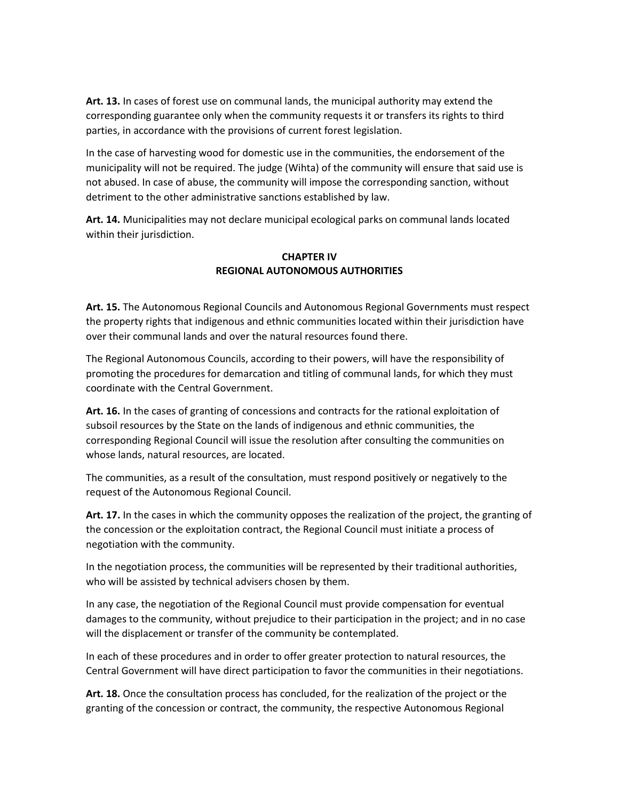**Art. 13.** In cases of forest use on communal lands, the municipal authority may extend the corresponding guarantee only when the community requests it or transfers its rights to third parties, in accordance with the provisions of current forest legislation.

In the case of harvesting wood for domestic use in the communities, the endorsement of the municipality will not be required. The judge (Wihta) of the community will ensure that said use is not abused. In case of abuse, the community will impose the corresponding sanction, without detriment to the other administrative sanctions established by law.

**Art. 14.** Municipalities may not declare municipal ecological parks on communal lands located within their jurisdiction.

## **CHAPTER IV REGIONAL AUTONOMOUS AUTHORITIES**

**Art. 15.** The Autonomous Regional Councils and Autonomous Regional Governments must respect the property rights that indigenous and ethnic communities located within their jurisdiction have over their communal lands and over the natural resources found there.

The Regional Autonomous Councils, according to their powers, will have the responsibility of promoting the procedures for demarcation and titling of communal lands, for which they must coordinate with the Central Government.

**Art. 16.** In the cases of granting of concessions and contracts for the rational exploitation of subsoil resources by the State on the lands of indigenous and ethnic communities, the corresponding Regional Council will issue the resolution after consulting the communities on whose lands, natural resources, are located.

The communities, as a result of the consultation, must respond positively or negatively to the request of the Autonomous Regional Council.

**Art. 17.** In the cases in which the community opposes the realization of the project, the granting of the concession or the exploitation contract, the Regional Council must initiate a process of negotiation with the community.

In the negotiation process, the communities will be represented by their traditional authorities, who will be assisted by technical advisers chosen by them.

In any case, the negotiation of the Regional Council must provide compensation for eventual damages to the community, without prejudice to their participation in the project; and in no case will the displacement or transfer of the community be contemplated.

In each of these procedures and in order to offer greater protection to natural resources, the Central Government will have direct participation to favor the communities in their negotiations.

**Art. 18.** Once the consultation process has concluded, for the realization of the project or the granting of the concession or contract, the community, the respective Autonomous Regional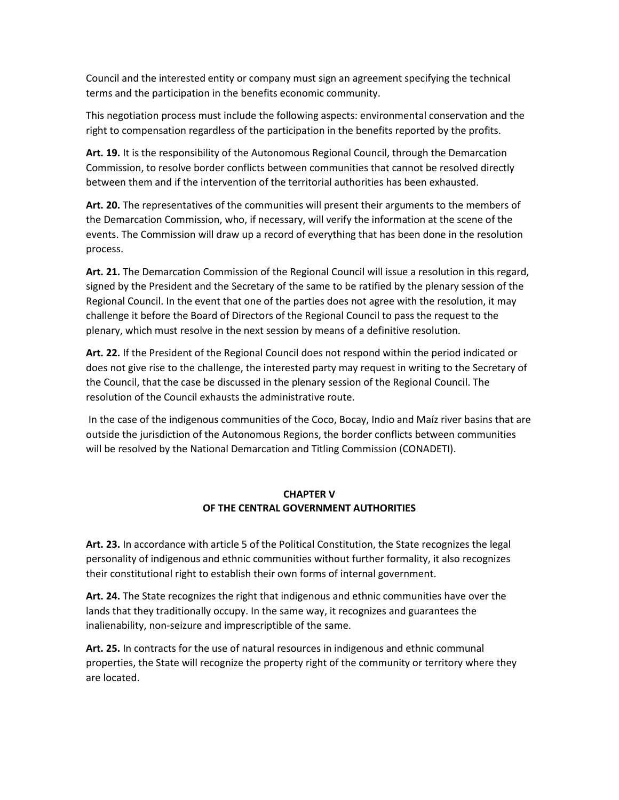Council and the interested entity or company must sign an agreement specifying the technical terms and the participation in the benefits economic community.

This negotiation process must include the following aspects: environmental conservation and the right to compensation regardless of the participation in the benefits reported by the profits.

**Art. 19.** It is the responsibility of the Autonomous Regional Council, through the Demarcation Commission, to resolve border conflicts between communities that cannot be resolved directly between them and if the intervention of the territorial authorities has been exhausted.

**Art. 20.** The representatives of the communities will present their arguments to the members of the Demarcation Commission, who, if necessary, will verify the information at the scene of the events. The Commission will draw up a record of everything that has been done in the resolution process.

**Art. 21.** The Demarcation Commission of the Regional Council will issue a resolution in this regard, signed by the President and the Secretary of the same to be ratified by the plenary session of the Regional Council. In the event that one of the parties does not agree with the resolution, it may challenge it before the Board of Directors of the Regional Council to pass the request to the plenary, which must resolve in the next session by means of a definitive resolution.

**Art. 22.** If the President of the Regional Council does not respond within the period indicated or does not give rise to the challenge, the interested party may request in writing to the Secretary of the Council, that the case be discussed in the plenary session of the Regional Council. The resolution of the Council exhausts the administrative route.

In the case of the indigenous communities of the Coco, Bocay, Indio and Maíz river basins that are outside the jurisdiction of the Autonomous Regions, the border conflicts between communities will be resolved by the National Demarcation and Titling Commission (CONADETI).

# **CHAPTER V OF THE CENTRAL GOVERNMENT AUTHORITIES**

**Art. 23.** In accordance with article 5 of the Political Constitution, the State recognizes the legal personality of indigenous and ethnic communities without further formality, it also recognizes their constitutional right to establish their own forms of internal government.

**Art. 24.** The State recognizes the right that indigenous and ethnic communities have over the lands that they traditionally occupy. In the same way, it recognizes and guarantees the inalienability, non-seizure and imprescriptible of the same.

**Art. 25.** In contracts for the use of natural resources in indigenous and ethnic communal properties, the State will recognize the property right of the community or territory where they are located.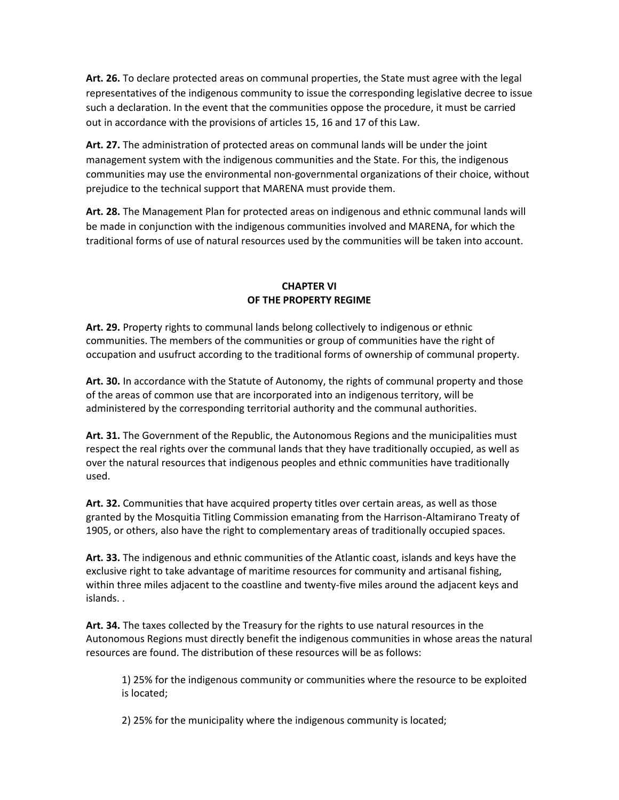**Art. 26.** To declare protected areas on communal properties, the State must agree with the legal representatives of the indigenous community to issue the corresponding legislative decree to issue such a declaration. In the event that the communities oppose the procedure, it must be carried out in accordance with the provisions of articles 15, 16 and 17 of this Law.

**Art. 27.** The administration of protected areas on communal lands will be under the joint management system with the indigenous communities and the State. For this, the indigenous communities may use the environmental non-governmental organizations of their choice, without prejudice to the technical support that MARENA must provide them.

**Art. 28.** The Management Plan for protected areas on indigenous and ethnic communal lands will be made in conjunction with the indigenous communities involved and MARENA, for which the traditional forms of use of natural resources used by the communities will be taken into account.

# **CHAPTER VI OF THE PROPERTY REGIME**

**Art. 29.** Property rights to communal lands belong collectively to indigenous or ethnic communities. The members of the communities or group of communities have the right of occupation and usufruct according to the traditional forms of ownership of communal property.

**Art. 30.** In accordance with the Statute of Autonomy, the rights of communal property and those of the areas of common use that are incorporated into an indigenous territory, will be administered by the corresponding territorial authority and the communal authorities.

**Art. 31.** The Government of the Republic, the Autonomous Regions and the municipalities must respect the real rights over the communal lands that they have traditionally occupied, as well as over the natural resources that indigenous peoples and ethnic communities have traditionally used.

**Art. 32.** Communities that have acquired property titles over certain areas, as well as those granted by the Mosquitia Titling Commission emanating from the Harrison-Altamirano Treaty of 1905, or others, also have the right to complementary areas of traditionally occupied spaces.

**Art. 33.** The indigenous and ethnic communities of the Atlantic coast, islands and keys have the exclusive right to take advantage of maritime resources for community and artisanal fishing, within three miles adjacent to the coastline and twenty-five miles around the adjacent keys and islands. .

**Art. 34.** The taxes collected by the Treasury for the rights to use natural resources in the Autonomous Regions must directly benefit the indigenous communities in whose areas the natural resources are found. The distribution of these resources will be as follows:

1) 25% for the indigenous community or communities where the resource to be exploited is located;

2) 25% for the municipality where the indigenous community is located;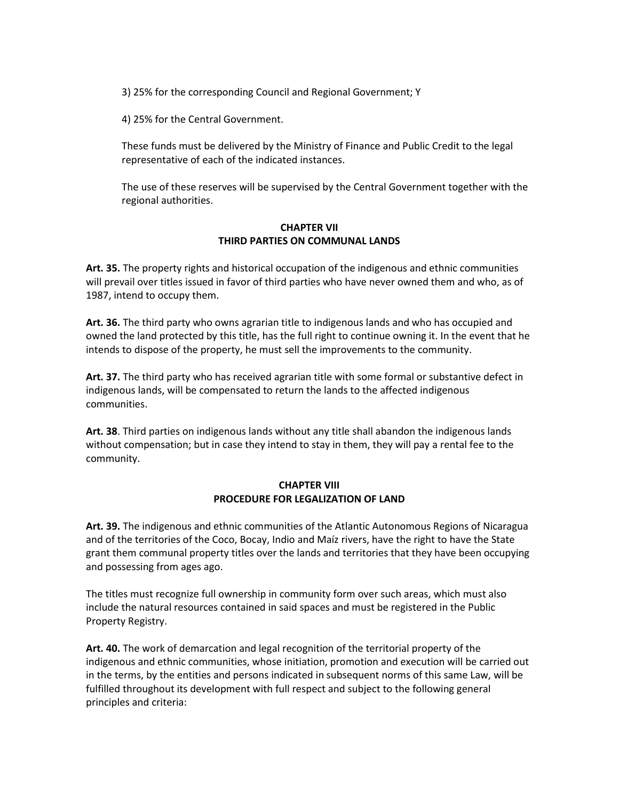3) 25% for the corresponding Council and Regional Government; Y

4) 25% for the Central Government.

These funds must be delivered by the Ministry of Finance and Public Credit to the legal representative of each of the indicated instances.

The use of these reserves will be supervised by the Central Government together with the regional authorities.

### **CHAPTER VII THIRD PARTIES ON COMMUNAL LANDS**

**Art. 35.** The property rights and historical occupation of the indigenous and ethnic communities will prevail over titles issued in favor of third parties who have never owned them and who, as of 1987, intend to occupy them.

**Art. 36.** The third party who owns agrarian title to indigenous lands and who has occupied and owned the land protected by this title, has the full right to continue owning it. In the event that he intends to dispose of the property, he must sell the improvements to the community.

**Art. 37.** The third party who has received agrarian title with some formal or substantive defect in indigenous lands, will be compensated to return the lands to the affected indigenous communities.

**Art. 38**. Third parties on indigenous lands without any title shall abandon the indigenous lands without compensation; but in case they intend to stay in them, they will pay a rental fee to the community.

### **CHAPTER VIII PROCEDURE FOR LEGALIZATION OF LAND**

**Art. 39.** The indigenous and ethnic communities of the Atlantic Autonomous Regions of Nicaragua and of the territories of the Coco, Bocay, Indio and Maíz rivers, have the right to have the State grant them communal property titles over the lands and territories that they have been occupying and possessing from ages ago.

The titles must recognize full ownership in community form over such areas, which must also include the natural resources contained in said spaces and must be registered in the Public Property Registry.

**Art. 40.** The work of demarcation and legal recognition of the territorial property of the indigenous and ethnic communities, whose initiation, promotion and execution will be carried out in the terms, by the entities and persons indicated in subsequent norms of this same Law, will be fulfilled throughout its development with full respect and subject to the following general principles and criteria: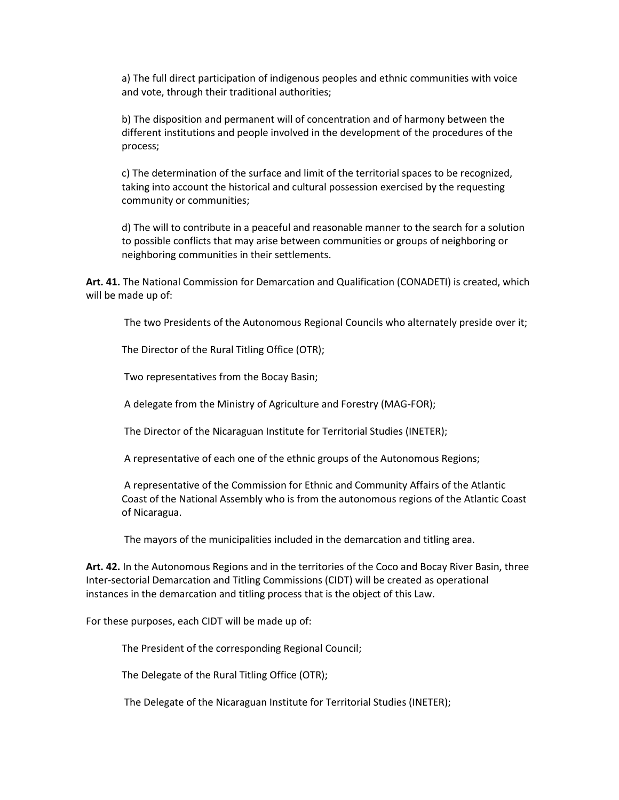a) The full direct participation of indigenous peoples and ethnic communities with voice and vote, through their traditional authorities;

b) The disposition and permanent will of concentration and of harmony between the different institutions and people involved in the development of the procedures of the process;

c) The determination of the surface and limit of the territorial spaces to be recognized, taking into account the historical and cultural possession exercised by the requesting community or communities;

d) The will to contribute in a peaceful and reasonable manner to the search for a solution to possible conflicts that may arise between communities or groups of neighboring or neighboring communities in their settlements.

**Art. 41.** The National Commission for Demarcation and Qualification (CONADETI) is created, which will be made up of:

The two Presidents of the Autonomous Regional Councils who alternately preside over it;

The Director of the Rural Titling Office (OTR);

Two representatives from the Bocay Basin;

A delegate from the Ministry of Agriculture and Forestry (MAG-FOR);

The Director of the Nicaraguan Institute for Territorial Studies (INETER);

A representative of each one of the ethnic groups of the Autonomous Regions;

A representative of the Commission for Ethnic and Community Affairs of the Atlantic Coast of the National Assembly who is from the autonomous regions of the Atlantic Coast of Nicaragua.

The mayors of the municipalities included in the demarcation and titling area.

**Art. 42.** In the Autonomous Regions and in the territories of the Coco and Bocay River Basin, three Inter-sectorial Demarcation and Titling Commissions (CIDT) will be created as operational instances in the demarcation and titling process that is the object of this Law.

For these purposes, each CIDT will be made up of:

The President of the corresponding Regional Council;

The Delegate of the Rural Titling Office (OTR);

The Delegate of the Nicaraguan Institute for Territorial Studies (INETER);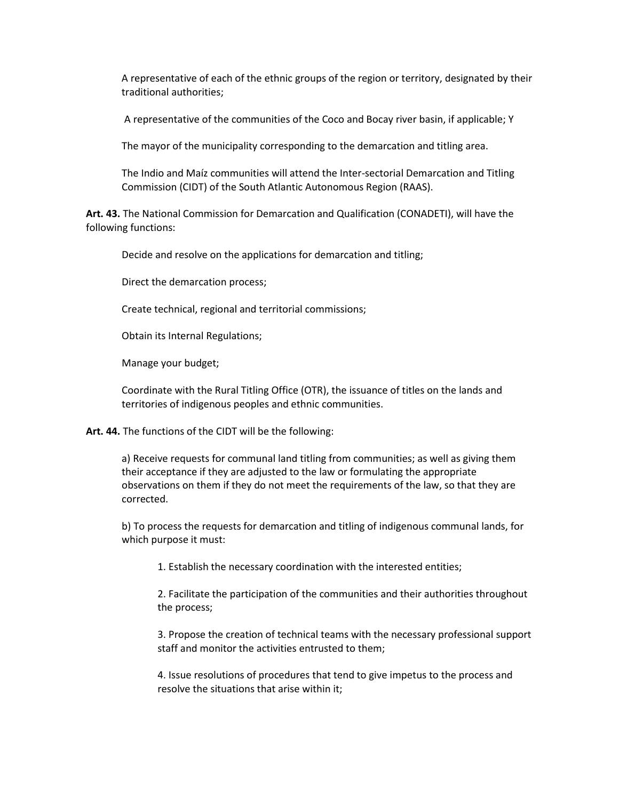A representative of each of the ethnic groups of the region or territory, designated by their traditional authorities;

A representative of the communities of the Coco and Bocay river basin, if applicable; Y

The mayor of the municipality corresponding to the demarcation and titling area.

The Indio and Maíz communities will attend the Inter-sectorial Demarcation and Titling Commission (CIDT) of the South Atlantic Autonomous Region (RAAS).

**Art. 43.** The National Commission for Demarcation and Qualification (CONADETI), will have the following functions:

Decide and resolve on the applications for demarcation and titling;

Direct the demarcation process;

Create technical, regional and territorial commissions;

Obtain its Internal Regulations;

Manage your budget;

Coordinate with the Rural Titling Office (OTR), the issuance of titles on the lands and territories of indigenous peoples and ethnic communities.

**Art. 44.** The functions of the CIDT will be the following:

a) Receive requests for communal land titling from communities; as well as giving them their acceptance if they are adjusted to the law or formulating the appropriate observations on them if they do not meet the requirements of the law, so that they are corrected.

b) To process the requests for demarcation and titling of indigenous communal lands, for which purpose it must:

1. Establish the necessary coordination with the interested entities;

2. Facilitate the participation of the communities and their authorities throughout the process;

3. Propose the creation of technical teams with the necessary professional support staff and monitor the activities entrusted to them;

4. Issue resolutions of procedures that tend to give impetus to the process and resolve the situations that arise within it;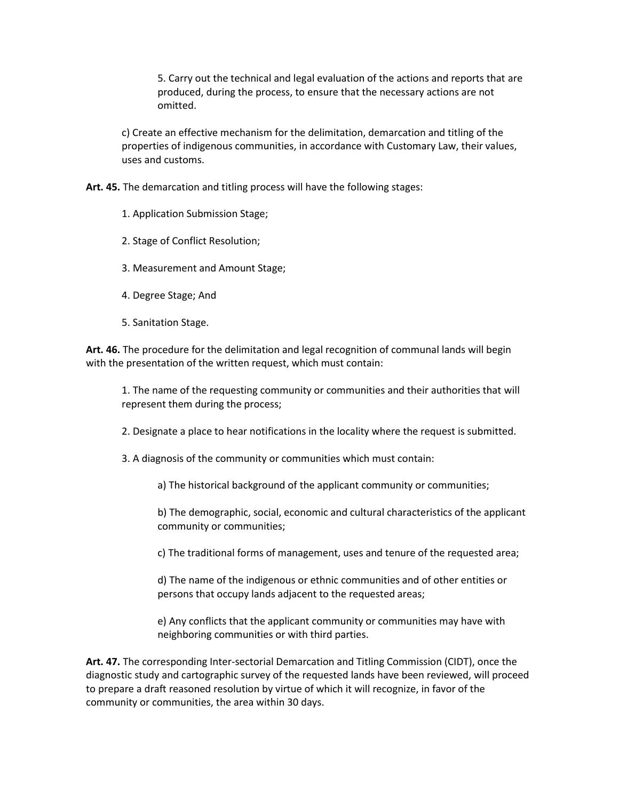5. Carry out the technical and legal evaluation of the actions and reports that are produced, during the process, to ensure that the necessary actions are not omitted.

c) Create an effective mechanism for the delimitation, demarcation and titling of the properties of indigenous communities, in accordance with Customary Law, their values, uses and customs.

**Art. 45.** The demarcation and titling process will have the following stages:

1. Application Submission Stage;

2. Stage of Conflict Resolution;

3. Measurement and Amount Stage;

- 4. Degree Stage; And
- 5. Sanitation Stage.

**Art. 46.** The procedure for the delimitation and legal recognition of communal lands will begin with the presentation of the written request, which must contain:

1. The name of the requesting community or communities and their authorities that will represent them during the process;

2. Designate a place to hear notifications in the locality where the request is submitted.

3. A diagnosis of the community or communities which must contain:

a) The historical background of the applicant community or communities;

b) The demographic, social, economic and cultural characteristics of the applicant community or communities;

c) The traditional forms of management, uses and tenure of the requested area;

d) The name of the indigenous or ethnic communities and of other entities or persons that occupy lands adjacent to the requested areas;

e) Any conflicts that the applicant community or communities may have with neighboring communities or with third parties.

**Art. 47.** The corresponding Inter-sectorial Demarcation and Titling Commission (CIDT), once the diagnostic study and cartographic survey of the requested lands have been reviewed, will proceed to prepare a draft reasoned resolution by virtue of which it will recognize, in favor of the community or communities, the area within 30 days.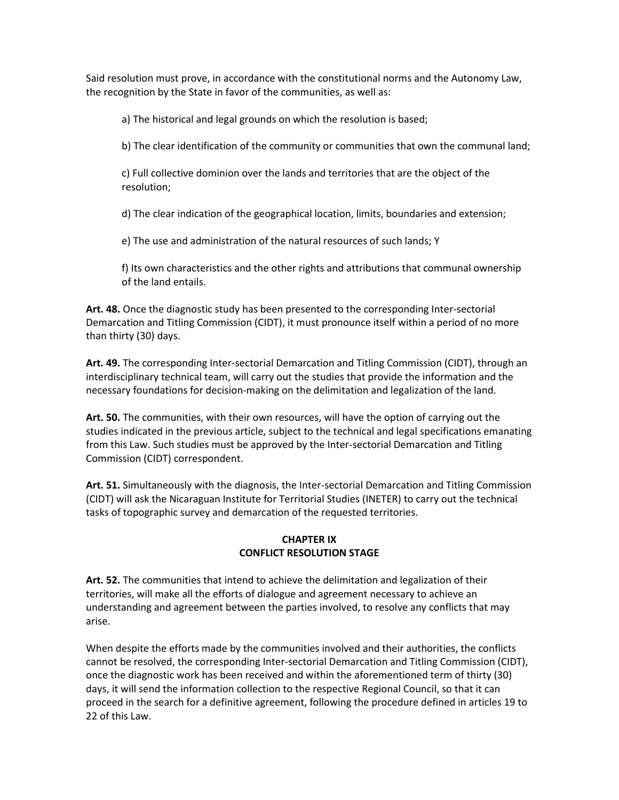Said resolution must prove, in accordance with the constitutional norms and the Autonomy Law, the recognition by the State in favor of the communities, as well as:

a) The historical and legal grounds on which the resolution is based;

b) The clear identification of the community or communities that own the communal land;

c) Full collective dominion over the lands and territories that are the object of the resolution;

d) The clear indication of the geographical location, limits, boundaries and extension;

e) The use and administration of the natural resources of such lands; Y

f) Its own characteristics and the other rights and attributions that communal ownership of the land entails.

**Art. 48.** Once the diagnostic study has been presented to the corresponding Inter-sectorial Demarcation and Titling Commission (CIDT), it must pronounce itself within a period of no more than thirty (30) days.

**Art. 49.** The corresponding Inter-sectorial Demarcation and Titling Commission (CIDT), through an interdisciplinary technical team, will carry out the studies that provide the information and the necessary foundations for decision-making on the delimitation and legalization of the land.

**Art. 50.** The communities, with their own resources, will have the option of carrying out the studies indicated in the previous article, subject to the technical and legal specifications emanating from this Law. Such studies must be approved by the Inter-sectorial Demarcation and Titling Commission (CIDT) correspondent.

**Art. 51.** Simultaneously with the diagnosis, the Inter-sectorial Demarcation and Titling Commission (CIDT) will ask the Nicaraguan Institute for Territorial Studies (INETER) to carry out the technical tasks of topographic survey and demarcation of the requested territories.

### **CHAPTER IX CONFLICT RESOLUTION STAGE**

**Art. 52.** The communities that intend to achieve the delimitation and legalization of their territories, will make all the efforts of dialogue and agreement necessary to achieve an understanding and agreement between the parties involved, to resolve any conflicts that may arise.

When despite the efforts made by the communities involved and their authorities, the conflicts cannot be resolved, the corresponding Inter-sectorial Demarcation and Titling Commission (CIDT), once the diagnostic work has been received and within the aforementioned term of thirty (30) days, it will send the information collection to the respective Regional Council, so that it can proceed in the search for a definitive agreement, following the procedure defined in articles 19 to 22 of this Law.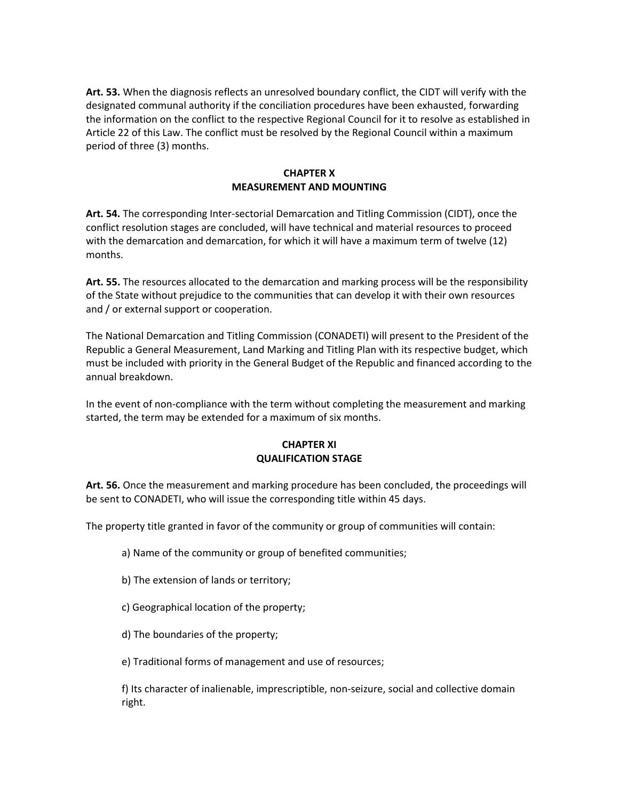**Art. 53.** When the diagnosis reflects an unresolved boundary conflict, the CIDT will verify with the designated communal authority if the conciliation procedures have been exhausted, forwarding the information on the conflict to the respective Regional Council for it to resolve as established in Article 22 of this Law. The conflict must be resolved by the Regional Council within a maximum period of three (3) months.

### **CHAPTER X MEASUREMENT AND MOUNTING**

**Art. 54.** The corresponding Inter-sectorial Demarcation and Titling Commission (CIDT), once the conflict resolution stages are concluded, will have technical and material resources to proceed with the demarcation and demarcation, for which it will have a maximum term of twelve (12) months.

**Art. 55.** The resources allocated to the demarcation and marking process will be the responsibility of the State without prejudice to the communities that can develop it with their own resources and / or external support or cooperation.

The National Demarcation and Titling Commission (CONADETI) will present to the President of the Republic a General Measurement, Land Marking and Titling Plan with its respective budget, which must be included with priority in the General Budget of the Republic and financed according to the annual breakdown.

In the event of non-compliance with the term without completing the measurement and marking started, the term may be extended for a maximum of six months.

### **CHAPTER XI QUALIFICATION STAGE**

**Art. 56.** Once the measurement and marking procedure has been concluded, the proceedings will be sent to CONADETI, who will issue the corresponding title within 45 days.

The property title granted in favor of the community or group of communities will contain:

- a) Name of the community or group of benefited communities;
- b) The extension of lands or territory;
- c) Geographical location of the property;
- d) The boundaries of the property;
- e) Traditional forms of management and use of resources;

f) Its character of inalienable, imprescriptible, non-seizure, social and collective domain right.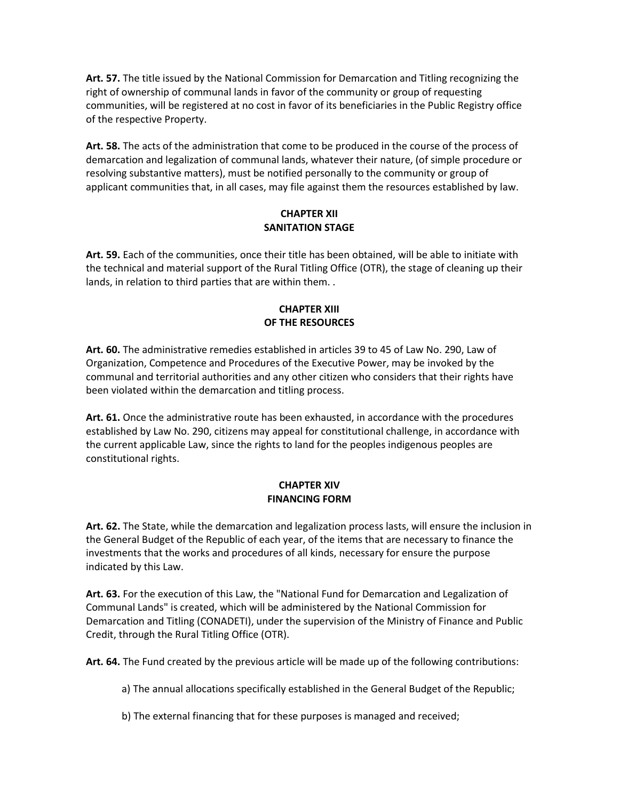**Art. 57.** The title issued by the National Commission for Demarcation and Titling recognizing the right of ownership of communal lands in favor of the community or group of requesting communities, will be registered at no cost in favor of its beneficiaries in the Public Registry office of the respective Property.

**Art. 58.** The acts of the administration that come to be produced in the course of the process of demarcation and legalization of communal lands, whatever their nature, (of simple procedure or resolving substantive matters), must be notified personally to the community or group of applicant communities that, in all cases, may file against them the resources established by law.

## **CHAPTER XII SANITATION STAGE**

**Art. 59.** Each of the communities, once their title has been obtained, will be able to initiate with the technical and material support of the Rural Titling Office (OTR), the stage of cleaning up their lands, in relation to third parties that are within them. .

# **CHAPTER XIII OF THE RESOURCES**

**Art. 60.** The administrative remedies established in articles 39 to 45 of Law No. 290, Law of Organization, Competence and Procedures of the Executive Power, may be invoked by the communal and territorial authorities and any other citizen who considers that their rights have been violated within the demarcation and titling process.

**Art. 61.** Once the administrative route has been exhausted, in accordance with the procedures established by Law No. 290, citizens may appeal for constitutional challenge, in accordance with the current applicable Law, since the rights to land for the peoples indigenous peoples are constitutional rights.

# **CHAPTER XIV FINANCING FORM**

**Art. 62.** The State, while the demarcation and legalization process lasts, will ensure the inclusion in the General Budget of the Republic of each year, of the items that are necessary to finance the investments that the works and procedures of all kinds, necessary for ensure the purpose indicated by this Law.

**Art. 63.** For the execution of this Law, the "National Fund for Demarcation and Legalization of Communal Lands" is created, which will be administered by the National Commission for Demarcation and Titling (CONADETI), under the supervision of the Ministry of Finance and Public Credit, through the Rural Titling Office (OTR).

**Art. 64.** The Fund created by the previous article will be made up of the following contributions:

a) The annual allocations specifically established in the General Budget of the Republic;

b) The external financing that for these purposes is managed and received;